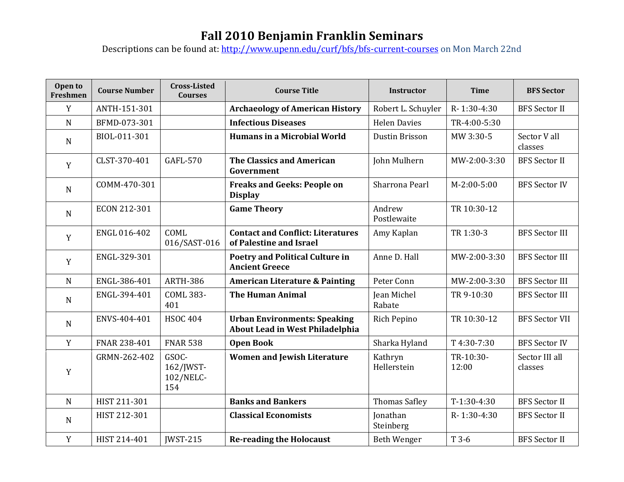## **Fall 2010 Benjamin Franklin Seminars**

Descriptions can be found at:<http://www.upenn.edu/curf/bfs/bfs-current-courses> on Mon March 22nd

| Open to<br>Freshmen | <b>Course Number</b> | <b>Cross-Listed</b><br><b>Courses</b>  | <b>Course Title</b>                                                    | <b>Instructor</b>            | <b>Time</b>        | <b>BFS Sector</b>         |
|---------------------|----------------------|----------------------------------------|------------------------------------------------------------------------|------------------------------|--------------------|---------------------------|
| $\mathbf Y$         | ANTH-151-301         |                                        | <b>Archaeology of American History</b>                                 | Robert L. Schuyler           | R-1:30-4:30        | <b>BFS</b> Sector II      |
| $\mathbf N$         | BFMD-073-301         |                                        | <b>Infectious Diseases</b>                                             | <b>Helen Davies</b>          | TR-4:00-5:30       |                           |
| ${\bf N}$           | BIOL-011-301         |                                        | <b>Humans in a Microbial World</b>                                     | Dustin Brisson               | MW 3:30-5          | Sector V all<br>classes   |
| Y                   | CLST-370-401         | <b>GAFL-570</b>                        | <b>The Classics and American</b><br>Government                         | John Mulhern                 | MW-2:00-3:30       | <b>BFS</b> Sector II      |
| $\mathbf N$         | COMM-470-301         |                                        | <b>Freaks and Geeks: People on</b><br><b>Display</b>                   | Sharrona Pearl               | $M-2:00-5:00$      | <b>BFS Sector IV</b>      |
| $\mathbf N$         | ECON 212-301         |                                        | <b>Game Theory</b>                                                     | Andrew<br>Postlewaite        | TR 10:30-12        |                           |
| Y                   | ENGL 016-402         | COML<br>016/SAST-016                   | <b>Contact and Conflict: Literatures</b><br>of Palestine and Israel    | Amy Kaplan                   | TR 1:30-3          | <b>BFS Sector III</b>     |
| Y                   | ENGL-329-301         |                                        | <b>Poetry and Political Culture in</b><br><b>Ancient Greece</b>        | Anne D. Hall                 | MW-2:00-3:30       | <b>BFS Sector III</b>     |
| $\mathbf N$         | ENGL-386-401         | <b>ARTH-386</b>                        | <b>American Literature &amp; Painting</b>                              | Peter Conn                   | MW-2:00-3:30       | <b>BFS Sector III</b>     |
| ${\bf N}$           | ENGL-394-401         | <b>COML 383-</b><br>401                | <b>The Human Animal</b>                                                | <b>Jean Michel</b><br>Rabate | TR 9-10:30         | <b>BFS Sector III</b>     |
| $\mathbf N$         | ENVS-404-401         | <b>HSOC 404</b>                        | <b>Urban Environments: Speaking</b><br>About Lead in West Philadelphia | Rich Pepino                  | TR 10:30-12        | <b>BFS Sector VII</b>     |
| Y                   | FNAR 238-401         | <b>FNAR 538</b>                        | <b>Open Book</b>                                                       | Sharka Hyland                | T4:30-7:30         | <b>BFS Sector IV</b>      |
| Y                   | GRMN-262-402         | GSOC-<br>162/JWST-<br>102/NELC-<br>154 | <b>Women and Jewish Literature</b>                                     | Kathryn<br>Hellerstein       | TR-10:30-<br>12:00 | Sector III all<br>classes |
| $\mathbf N$         | HIST 211-301         |                                        | <b>Banks and Bankers</b>                                               | <b>Thomas Safley</b>         | $T-1:30-4:30$      | <b>BFS</b> Sector II      |
| $\mathbf N$         | HIST 212-301         |                                        | <b>Classical Economists</b>                                            | Jonathan<br>Steinberg        | R-1:30-4:30        | <b>BFS Sector II</b>      |
| Y                   | HIST 214-401         | <b>IWST-215</b>                        | <b>Re-reading the Holocaust</b>                                        | Beth Wenger                  | T 3-6              | <b>BFS</b> Sector II      |